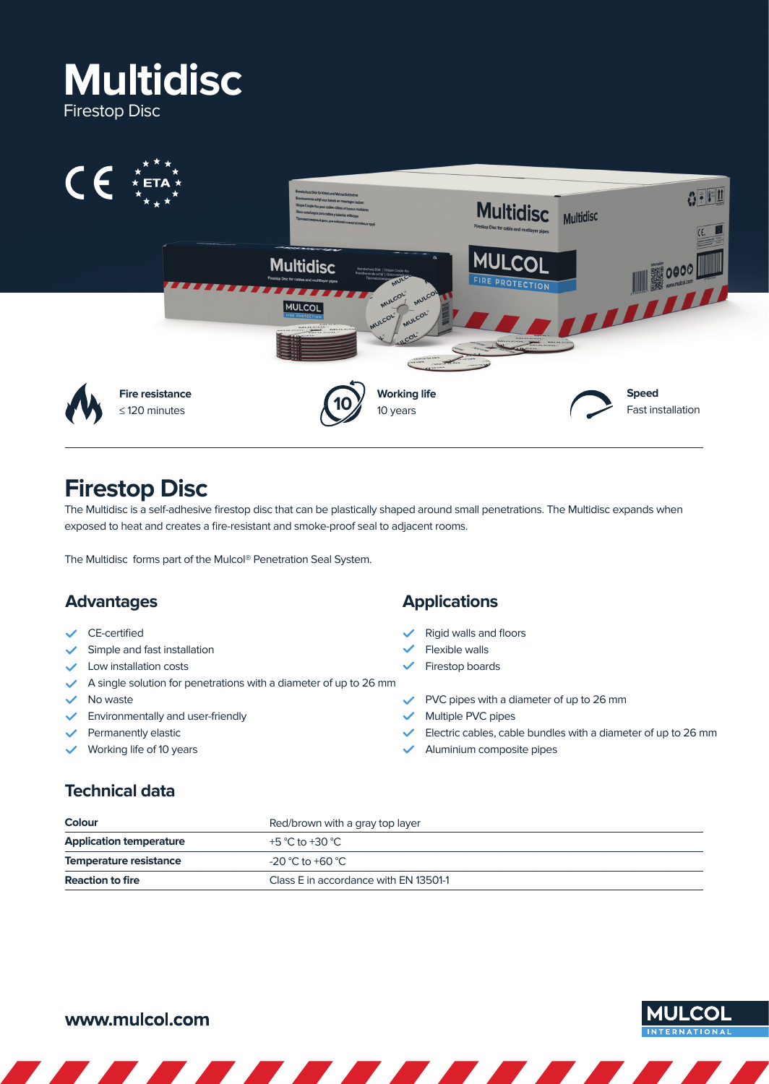



# **Firestop Disc**

The Multidisc is a self-adhesive firestop disc that can be plastically shaped around small penetrations. The Multidisc expands when exposed to heat and creates a fire-resistant and smoke-proof seal to adjacent rooms.

The Multidisc forms part of the Mulcol® Penetration Seal System.

#### **Advantages**

- CE-certified
- Simple and fast installation
- Low installation costs
- $\blacktriangleright$  A single solution for penetrations with a diameter of up to 26 mm
- $\vee$  No waste
- Environmentally and user-friendly
- Permanently elastic
- Working life of 10 years

#### **Applications**

- Rigid walls and floors
- Flexible walls
- Firestop boards
- $\vee$  PVC pipes with a diameter of up to 26 mm
- $\checkmark$  Multiple PVC pipes
- $\blacktriangleright$  Electric cables, cable bundles with a diameter of up to 26 mm
- Aluminium composite pipes

## **Technical data**

| <b>Colour</b>                  | Red/brown with a gray top layer<br>+5 °C to +30 °C |  |  |
|--------------------------------|----------------------------------------------------|--|--|
| <b>Application temperature</b> |                                                    |  |  |
| Temperature resistance         | $-20$ °C to +60 °C                                 |  |  |
| <b>Reaction to fire</b>        | Class E in accordance with EN 13501-1              |  |  |

## www.mulcol.com